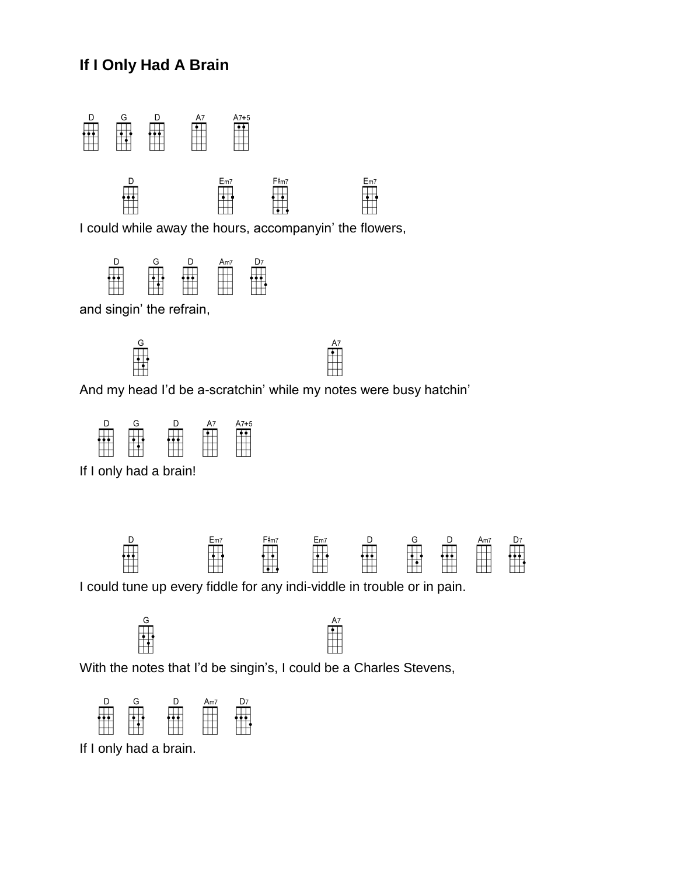## **If I Only Had A Brain**



I could while away the hours, accompanyin' the flowers,



and singin' the refrain,



And my head I'd be a-scratchin' while my notes were busy hatchin'



If I only had a brain!



I could tune up every fiddle for any indi-viddle in trouble or in pain.





With the notes that I'd be singin's, I could be a Charles Stevens,



If I only had a brain.